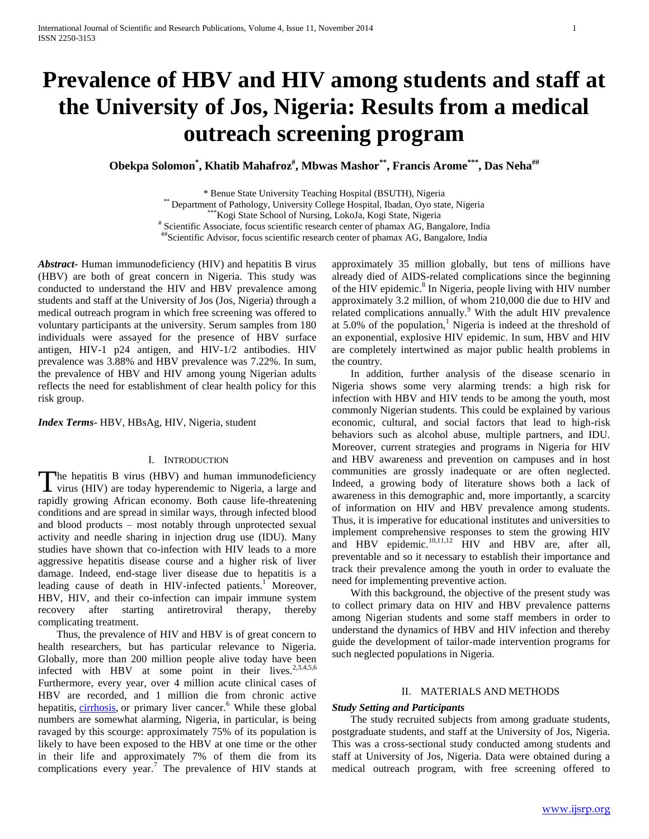# **Prevalence of HBV and HIV among students and staff at the University of Jos, Nigeria: Results from a medical outreach screening program**

**Obekpa Solomon\* , Khatib Mahafroz# , Mbwas Mashor\*\*, Francis Arome\*\*\*, Das Neha##**

\* Benue State University Teaching Hospital (BSUTH), Nigeria

\*\* Department of Pathology, University College Hospital, Ibadan, Oyo state, Nigeria

\*\*\*Kogi State School of Nursing, LokoJa, Kogi State, Nigeria

# Scientific Associate, focus scientific research center of phamax AG, Bangalore, India

##Scientific Advisor, focus scientific research center of phamax AG, Bangalore, India

*Abstract***-** Human immunodeficiency (HIV) and hepatitis B virus (HBV) are both of great concern in Nigeria. This study was conducted to understand the HIV and HBV prevalence among students and staff at the University of Jos (Jos, Nigeria) through a medical outreach program in which free screening was offered to voluntary participants at the university. Serum samples from 180 individuals were assayed for the presence of HBV surface antigen, HIV-1 p24 antigen, and HIV-1/2 antibodies. HIV prevalence was 3.88% and HBV prevalence was 7.22%. In sum, the prevalence of HBV and HIV among young Nigerian adults reflects the need for establishment of clear health policy for this risk group.

*Index Terms*- HBV, HBsAg, HIV, Nigeria, student

# I. INTRODUCTION

The hepatitis B virus (HBV) and human immunodeficiency The hepatitis B virus (HBV) and human immunodeficiency<br>virus (HIV) are today hyperendemic to Nigeria, a large and rapidly growing African economy. Both cause life-threatening conditions and are spread in similar ways, through infected blood and blood products – most notably through unprotected sexual activity and needle sharing in injection drug use (IDU). Many studies have shown that co-infection with HIV leads to a more aggressive hepatitis disease course and a higher risk of liver damage. Indeed, end-stage liver disease due to hepatitis is a leading cause of death in HIV-infected patients.<sup>1</sup> Moreover, HBV, HIV, and their co-infection can impair immune system recovery after starting antiretroviral therapy, thereby complicating treatment.

 Thus, the prevalence of HIV and HBV is of great concern to health researchers, but has particular relevance to Nigeria. Globally, more than 200 million people alive today have been infected with HBV at some point in their lives.<sup>2,3,4,5,6</sup> Furthermore, every year, over 4 million acute clinical cases of HBV are recorded, and 1 million die from chronic active hepatitis, [cirrhosis,](http://www.who.int/csr/disease/hepatitis/whocdscsrlyo20022/en/index7.html#cirrhosis) or primary liver cancer.<sup>6</sup> While these global numbers are somewhat alarming, Nigeria, in particular, is being ravaged by this scourge: approximately 75% of its population is likely to have been exposed to the HBV at one time or the other in their life and approximately 7% of them die from its complications every year.<sup>7</sup> The prevalence of HIV stands at approximately 35 million globally, but tens of millions have already died of AIDS-related complications since the beginning of the HIV epidemic.<sup>8</sup> In Nigeria, people living with HIV number approximately 3.2 million, of whom 210,000 die due to HIV and related complications annually. $9$  With the adult HIV prevalence at 5.0% of the population,<sup>1</sup> Nigeria is indeed at the threshold of an exponential, explosive HIV epidemic. In sum, HBV and HIV are completely intertwined as major public health problems in the country.

 In addition, further analysis of the disease scenario in Nigeria shows some very alarming trends: a high risk for infection with HBV and HIV tends to be among the youth, most commonly Nigerian students. This could be explained by various economic, cultural, and social factors that lead to high-risk behaviors such as alcohol abuse, multiple partners, and IDU. Moreover, current strategies and programs in Nigeria for HIV and HBV awareness and prevention on campuses and in host communities are grossly inadequate or are often neglected. Indeed, a growing body of literature shows both a lack of awareness in this demographic and, more importantly, a scarcity of information on HIV and HBV prevalence among students. Thus, it is imperative for educational institutes and universities to implement comprehensive responses to stem the growing HIV and HBV epidemic.<sup>10,11,12</sup> HIV and HBV are, after all, preventable and so it necessary to establish their importance and track their prevalence among the youth in order to evaluate the need for implementing preventive action.

 With this background, the objective of the present study was to collect primary data on HIV and HBV prevalence patterns among Nigerian students and some staff members in order to understand the dynamics of HBV and HIV infection and thereby guide the development of tailor-made intervention programs for such neglected populations in Nigeria.

## II. MATERIALS AND METHODS

## *Study Setting and Participants*

 The study recruited subjects from among graduate students, postgraduate students, and staff at the University of Jos, Nigeria. This was a cross-sectional study conducted among students and staff at University of Jos, Nigeria. Data were obtained during a medical outreach program, with free screening offered to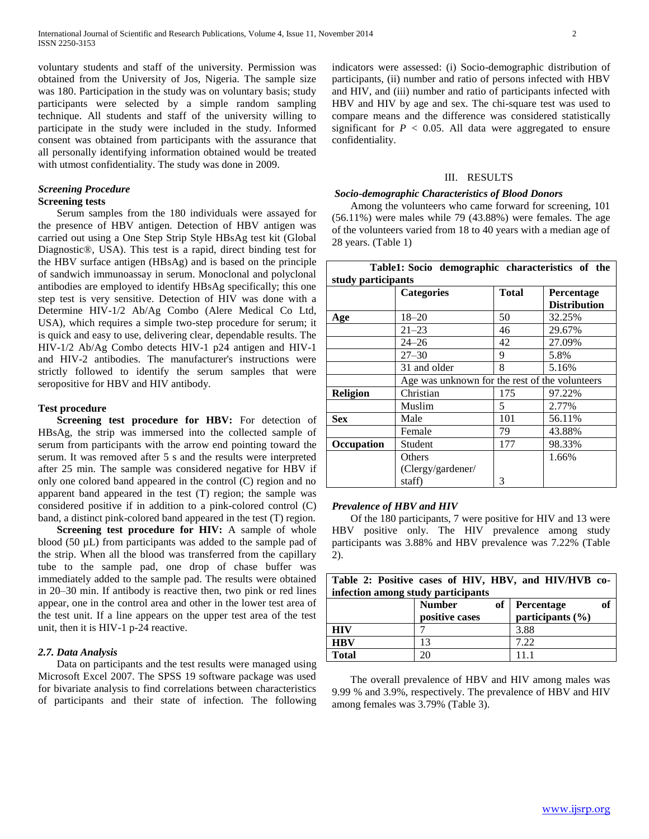voluntary students and staff of the university. Permission was obtained from the University of Jos, Nigeria. The sample size was 180. Participation in the study was on voluntary basis; study participants were selected by a simple random sampling technique. All students and staff of the university willing to participate in the study were included in the study. Informed consent was obtained from participants with the assurance that all personally identifying information obtained would be treated with utmost confidentiality. The study was done in 2009.

## *Screening Procedure*  **Screening tests**

 Serum samples from the 180 individuals were assayed for the presence of HBV antigen. Detection of HBV antigen was carried out using a One Step Strip Style HBsAg test kit (Global Diagnostic®, USA). This test is a rapid, direct binding test for the HBV surface antigen (HBsAg) and is based on the principle of sandwich immunoassay in serum. Monoclonal and polyclonal antibodies are employed to identify HBsAg specifically; this one step test is very sensitive. Detection of HIV was done with a Determine HIV-1/2 Ab/Ag Combo (Alere Medical Co Ltd, USA), which requires a simple two-step procedure for serum; it is quick and easy to use, delivering clear, dependable results. The HIV-1/2 Ab/Ag Combo detects HIV-1 p24 antigen and HIV-1 and HIV-2 antibodies. The manufacturer's instructions were strictly followed to identify the serum samples that were seropositive for HBV and HIV antibody.

## **Test procedure**

 **Screening test procedure for HBV:** For detection of HBsAg, the strip was immersed into the collected sample of serum from participants with the arrow end pointing toward the serum. It was removed after 5 s and the results were interpreted after 25 min. The sample was considered negative for HBV if only one colored band appeared in the control (C) region and no apparent band appeared in the test (T) region; the sample was considered positive if in addition to a pink-colored control (C) band, a distinct pink-colored band appeared in the test (T) region.

 **Screening test procedure for HIV:** A sample of whole blood (50 µL) from participants was added to the sample pad of the strip. When all the blood was transferred from the capillary tube to the sample pad, one drop of chase buffer was immediately added to the sample pad. The results were obtained in 20–30 min. If antibody is reactive then, two pink or red lines appear, one in the control area and other in the lower test area of the test unit. If a line appears on the upper test area of the test unit, then it is HIV-1 p-24 reactive.

## *2.7. Data Analysis*

 Data on participants and the test results were managed using Microsoft Excel 2007. The SPSS 19 software package was used for bivariate analysis to find correlations between characteristics of participants and their state of infection. The following indicators were assessed: (i) Socio-demographic distribution of participants, (ii) number and ratio of persons infected with HBV and HIV, and (iii) number and ratio of participants infected with HBV and HIV by age and sex. The chi-square test was used to compare means and the difference was considered statistically significant for  $P < 0.05$ . All data were aggregated to ensure confidentiality.

### III. RESULTS

#### *Socio-demographic Characteristics of Blood Donors*

 Among the volunteers who came forward for screening, 101 (56.11%) were males while 79 (43.88%) were females. The age of the volunteers varied from 18 to 40 years with a median age of 28 years. (Table 1)

| Table1: Socio demographic characteristics of the |                                                |              |                     |  |  |  |
|--------------------------------------------------|------------------------------------------------|--------------|---------------------|--|--|--|
| study participants                               |                                                |              |                     |  |  |  |
|                                                  | <b>Categories</b>                              | <b>Total</b> | Percentage          |  |  |  |
|                                                  |                                                |              | <b>Distribution</b> |  |  |  |
| Age                                              | $18 - 20$                                      | 50           | 32.25%              |  |  |  |
|                                                  | $21 - 23$                                      | 46           | 29.67%              |  |  |  |
|                                                  | $24 - 26$                                      | 42           | 27.09%              |  |  |  |
|                                                  | $27 - 30$                                      | 9            | 5.8%                |  |  |  |
|                                                  | 31 and older                                   | 8            | 5.16%               |  |  |  |
|                                                  | Age was unknown for the rest of the volunteers |              |                     |  |  |  |
| <b>Religion</b>                                  | Christian                                      | 175          | 97.22%              |  |  |  |
|                                                  | Muslim                                         | 5            | 2.77%               |  |  |  |
| <b>Sex</b>                                       | Male                                           | 101          | 56.11%              |  |  |  |
|                                                  | Female                                         | 79           | 43.88%              |  |  |  |
| Occupation                                       | Student                                        | 177          | 98.33%              |  |  |  |
|                                                  | Others                                         |              | 1.66%               |  |  |  |
|                                                  | (Clergy/gardener/                              |              |                     |  |  |  |
|                                                  | staff)                                         | 3            |                     |  |  |  |

## *Prevalence of HBV and HIV*

 Of the 180 participants, 7 were positive for HIV and 13 were HBV positive only. The HIV prevalence among study participants was 3.88% and HBV prevalence was 7.22% (Table 2).

| Table 2: Positive cases of HIV, HBV, and HIV/HVB co-<br>infection among study participants |                                       |                                             |  |  |  |  |
|--------------------------------------------------------------------------------------------|---------------------------------------|---------------------------------------------|--|--|--|--|
|                                                                                            | <b>Number</b><br>of<br>positive cases | of<br><b>Percentage</b><br>participants (%) |  |  |  |  |
| <b>HIV</b>                                                                                 |                                       | 3.88                                        |  |  |  |  |
| <b>HBV</b>                                                                                 | 13                                    | 7.22                                        |  |  |  |  |
| <b>Total</b>                                                                               | 20                                    | 111                                         |  |  |  |  |

 The overall prevalence of HBV and HIV among males was 9.99 % and 3.9%, respectively. The prevalence of HBV and HIV among females was 3.79% (Table 3).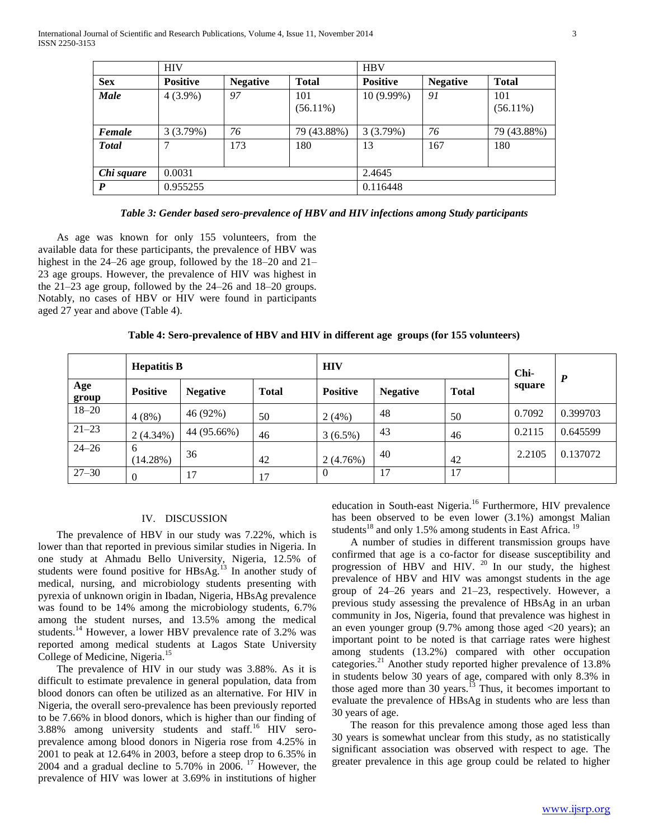|                  | <b>HIV</b>      |                 |                    | <b>HBV</b>      |                 |                    |
|------------------|-----------------|-----------------|--------------------|-----------------|-----------------|--------------------|
| <b>Sex</b>       | <b>Positive</b> | <b>Negative</b> | <b>Total</b>       | <b>Positive</b> | <b>Negative</b> | <b>Total</b>       |
| Male             | $4(3.9\%)$      | 97              | 101<br>$(56.11\%)$ | $10(9.99\%)$    | 91              | 101<br>$(56.11\%)$ |
| Female           | 3(3.79%)        | 76              | 79 (43.88%)        | 3(3.79%)        | 76              | 79 (43.88%)        |
| <b>Total</b>     | 7               | 173             | 180                | 13              | 167             | 180                |
| Chi square       | 0.0031          |                 |                    | 2.4645          |                 |                    |
| $\boldsymbol{P}$ | 0.955255        |                 |                    | 0.116448        |                 |                    |

*Table 3: Gender based sero-prevalence of HBV and HIV infections among Study participants*

 As age was known for only 155 volunteers, from the available data for these participants, the prevalence of HBV was highest in the 24–26 age group, followed by the 18–20 and 21– 23 age groups. However, the prevalence of HIV was highest in the 21–23 age group, followed by the 24–26 and 18–20 groups. Notably, no cases of HBV or HIV were found in participants aged 27 year and above (Table 4).

**Table 4: Sero-prevalence of HBV and HIV in different age groups (for 155 volunteers)**

|              | <b>Hepatitis B</b> |                 |              | <b>HIV</b>      |                 |              | Chi-   |                  |
|--------------|--------------------|-----------------|--------------|-----------------|-----------------|--------------|--------|------------------|
| Age<br>group | <b>Positive</b>    | <b>Negative</b> | <b>Total</b> | <b>Positive</b> | <b>Negative</b> | <b>Total</b> | square | $\boldsymbol{P}$ |
| $18 - 20$    | $4(8\%)$           | 46 (92%)        | 50           | 2(4%)           | 48              | 50           | 0.7092 | 0.399703         |
| $21 - 23$    | $2(4.34\%)$        | 44 (95.66%)     | 46           | $3(6.5\%)$      | 43              | 46           | 0.2115 | 0.645599         |
| $24 - 26$    | 6<br>(14.28%)      | 36              | 42           | 2(4.76%)        | 40              | 42           | 2.2105 | 0.137072         |
| $27 - 30$    | $\theta$           | 17              | 17           | $\Omega$        | 17              | 17           |        |                  |

## IV. DISCUSSION

 The prevalence of HBV in our study was 7.22%, which is lower than that reported in previous similar studies in Nigeria. In one study at Ahmadu Bello University, Nigeria, 12.5% of students were found positive for  $HBSAg<sup>13</sup>$  In another study of medical, nursing, and microbiology students presenting with pyrexia of unknown origin in Ibadan, Nigeria, HBsAg prevalence was found to be 14% among the microbiology students, 6.7% among the student nurses, and 13.5% among the medical students.<sup>14</sup> However, a lower HBV prevalence rate of 3.2% was reported among medical students at Lagos State University College of Medicine, Nigeria.<sup>15</sup>

 The prevalence of HIV in our study was 3.88%. As it is difficult to estimate prevalence in general population, data from blood donors can often be utilized as an alternative. For HIV in Nigeria, the overall sero-prevalence has been previously reported to be 7.66% in blood donors, which is higher than our finding of 3.88% among university students and staff.<sup>16</sup> HIV seroprevalence among blood donors in Nigeria rose from 4.25% in 2001 to peak at 12.64% in 2003, before a steep drop to 6.35% in 2004 and a gradual decline to 5.70% in 2006. <sup>17</sup> However, the prevalence of HIV was lower at 3.69% in institutions of higher

education in South-east Nigeria.<sup>16</sup> Furthermore, HIV prevalence has been observed to be even lower (3.1%) amongst Malian students<sup>18</sup> and only 1.5% among students in East Africa.<sup>19</sup>

 A number of studies in different transmission groups have confirmed that age is a co-factor for disease susceptibility and progression of HBV and HIV.  $20$  In our study, the highest prevalence of HBV and HIV was amongst students in the age group of 24–26 years and 21–23, respectively. However, a previous study assessing the prevalence of HBsAg in an urban community in Jos, Nigeria, found that prevalence was highest in an even younger group (9.7% among those aged <20 years); an important point to be noted is that carriage rates were highest among students (13.2%) compared with other occupation categories.<sup>21</sup> Another study reported higher prevalence of 13.8% in students below 30 years of age, compared with only 8.3% in those aged more than  $30$  years.<sup>13</sup> Thus, it becomes important to evaluate the prevalence of HBsAg in students who are less than 30 years of age.

 The reason for this prevalence among those aged less than 30 years is somewhat unclear from this study, as no statistically significant association was observed with respect to age. The greater prevalence in this age group could be related to higher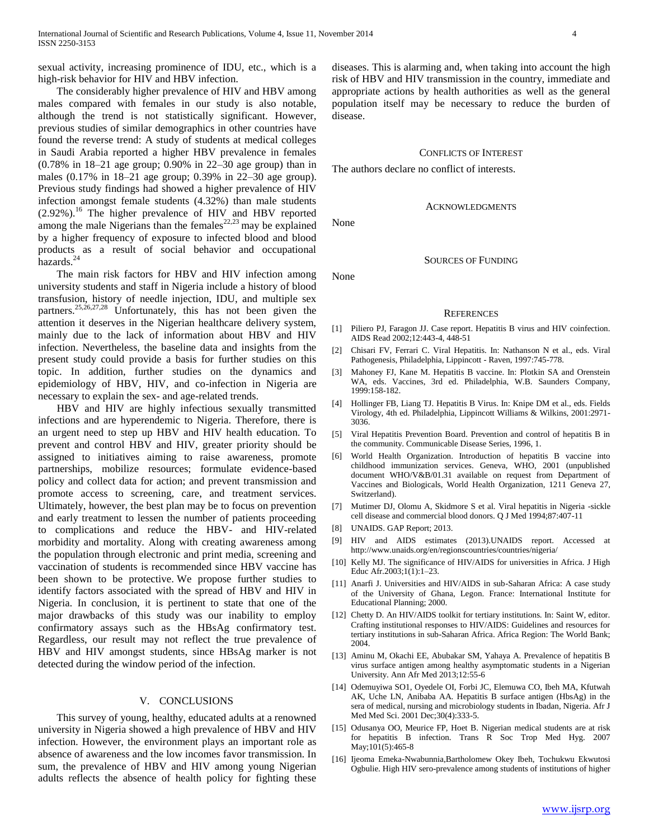sexual activity, increasing prominence of IDU, etc., which is a high-risk behavior for HIV and HBV infection.

 The considerably higher prevalence of HIV and HBV among males compared with females in our study is also notable, although the trend is not statistically significant. However, previous studies of similar demographics in other countries have found the reverse trend: A study of students at medical colleges in Saudi Arabia reported a higher HBV prevalence in females (0.78% in 18–21 age group; 0.90% in 22–30 age group) than in males (0.17% in 18–21 age group; 0.39% in 22–30 age group). Previous study findings had showed a higher prevalence of HIV infection amongst female students (4.32%) than male students  $(2.92\%)$ .<sup>16</sup> The higher prevalence of HIV and HBV reported among the male Nigerians than the females $22,23$  may be explained by a higher frequency of exposure to infected blood and blood products as a result of social behavior and occupational hazards.<sup>24</sup>

 The main risk factors for HBV and HIV infection among university students and staff in Nigeria include a history of blood transfusion, history of needle injection, IDU, and multiple sex partners.<sup>25,26,27,28</sup> Unfortunately, this has not been given the attention it deserves in the Nigerian healthcare delivery system, mainly due to the lack of information about HBV and HIV infection. Nevertheless, the baseline data and insights from the present study could provide a basis for further studies on this topic. In addition, further studies on the dynamics and epidemiology of HBV, HIV, and co-infection in Nigeria are necessary to explain the sex- and age-related trends.

 HBV and HIV are highly infectious sexually transmitted infections and are hyperendemic to Nigeria. Therefore, there is an urgent need to step up HBV and HIV health education. To prevent and control HBV and HIV, greater priority should be assigned to initiatives aiming to raise awareness, promote partnerships, mobilize resources; formulate evidence-based policy and collect data for action; and prevent transmission and promote access to screening, care, and treatment services. Ultimately, however, the best plan may be to focus on prevention and early treatment to lessen the number of patients proceeding to complications and reduce the HBV- and HIV-related morbidity and mortality. Along with creating awareness among the population through electronic and print media, screening and vaccination of students is recommended since HBV vaccine has been shown to be protective. We propose further studies to identify factors associated with the spread of HBV and HIV in Nigeria. In conclusion, it is pertinent to state that one of the major drawbacks of this study was our inability to employ confirmatory assays such as the HBsAg confirmatory test. Regardless, our result may not reflect the true prevalence of HBV and HIV amongst students, since HBsAg marker is not detected during the window period of the infection.

#### V. CONCLUSIONS

 This survey of young, healthy, educated adults at a renowned university in Nigeria showed a high prevalence of HBV and HIV infection. However, the environment plays an important role as absence of awareness and the low incomes favor transmission. In sum, the prevalence of HBV and HIV among young Nigerian adults reflects the absence of health policy for fighting these

diseases. This is alarming and, when taking into account the high risk of HBV and HIV transmission in the country, immediate and appropriate actions by health authorities as well as the general population itself may be necessary to reduce the burden of disease.

#### CONFLICTS OF INTEREST

The authors declare no conflict of interests.

ACKNOWLEDGMENTS

None

None

## SOURCES OF FUNDING

#### **REFERENCES**

- [1] Piliero PJ, Faragon JJ. Case report. Hepatitis B virus and HIV coinfection. AIDS Read 2002;12:443-4, 448-51
- [2] Chisari FV, Ferrari C. Viral Hepatitis. In: Nathanson N et al., eds. Viral Pathogenesis, Philadelphia, Lippincott - Raven, 1997:745-778.
- [3] Mahoney FJ, Kane M. Hepatitis B vaccine. In: Plotkin SA and Orenstein WA, eds. Vaccines, 3rd ed. Philadelphia, W.B. Saunders Company, 1999:158-182.
- [4] Hollinger FB, Liang TJ. Hepatitis B Virus. In: Knipe DM et al., eds. Fields Virology, 4th ed. Philadelphia, Lippincott Williams & Wilkins, 2001:2971- 3036.
- [5] Viral Hepatitis Prevention Board. Prevention and control of hepatitis B in the community. Communicable Disease Series, 1996, 1.
- [6] World Health Organization. Introduction of hepatitis B vaccine into childhood immunization services. Geneva, WHO, 2001 (unpublished document WHO/V&B/01.31 available on request from Department of Vaccines and Biologicals, World Health Organization, 1211 Geneva 27, Switzerland).
- [7] Mutimer DJ, Olomu A, Skidmore S et al. Viral hepatitis in Nigeria -sickle cell disease and commercial blood donors. Q J Med 1994;87:407-11
- [8] UNAIDS. GAP Report; 2013.
- [9] HIV and AIDS estimates (2013).UNAIDS report. Accessed at http://www.unaids.org/en/regionscountries/countries/nigeria/
- [10] Kelly MJ. The significance of HIV/AIDS for universities in Africa. J High Educ Afr.2003;1(1):1–23.
- [11] Anarfi J. Universities and HIV/AIDS in sub-Saharan Africa: A case study of the University of Ghana, Legon. France: International Institute for Educational Planning; 2000.
- [12] Chetty D. An HIV/AIDS toolkit for tertiary institutions. In: Saint W, editor. Crafting institutional responses to HIV/AIDS: Guidelines and resources for tertiary institutions in sub-Saharan Africa. Africa Region: The World Bank; 2004.
- [13] Aminu M, Okachi EE, Abubakar SM, Yahaya A. Prevalence of hepatitis B virus surface antigen among healthy asymptomatic students in a Nigerian University. Ann Afr Med 2013;12:55-6
- [14] Odemuyiwa SO1, Oyedele OI, Forbi JC, Elemuwa CO, Ibeh MA, Kfutwah AK, Uche LN, Anibaba AA. Hepatitis B surface antigen (HbsAg) in the sera of medical, nursing and microbiology students in Ibadan, Nigeria. Afr J Med Med Sci. 2001 Dec;30(4):333-5.
- [15] Odusanya OO, Meurice FP, Hoet B. Nigerian medical students are at risk for hepatitis B infection. Trans R Soc Trop Med Hyg. 2007 May;101(5):465-8
- [16] Ijeoma Emeka-Nwabunnia,Bartholomew Okey Ibeh, Tochukwu Ekwutosi Ogbulie. High HIV sero-prevalence among students of institutions of higher